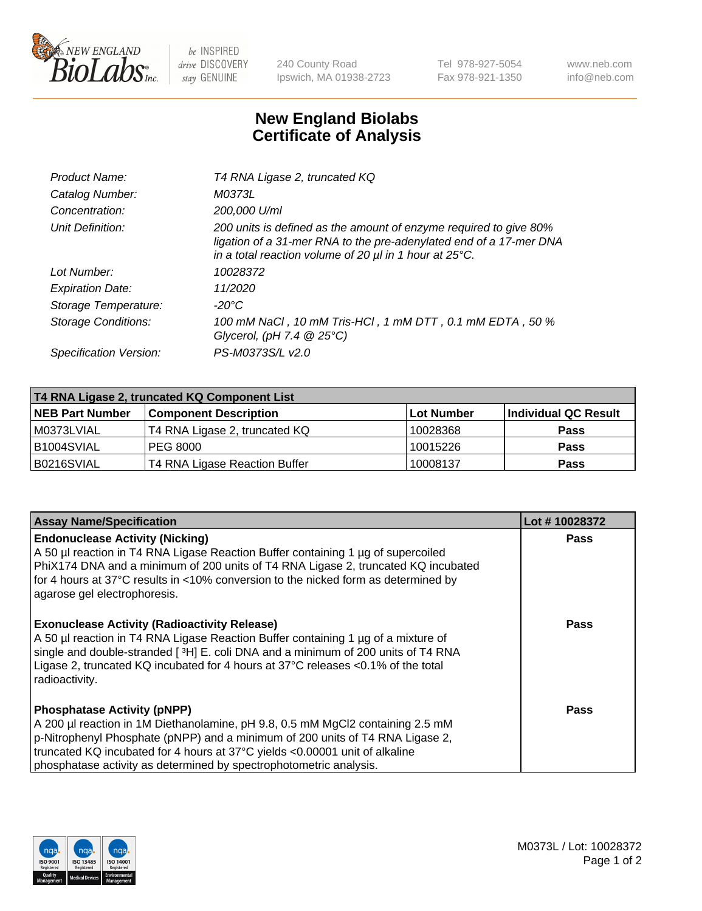

 $be$  INSPIRED drive DISCOVERY stay GENUINE

240 County Road Ipswich, MA 01938-2723 Tel 978-927-5054 Fax 978-921-1350 www.neb.com info@neb.com

## **New England Biolabs Certificate of Analysis**

| Product Name:              | T4 RNA Ligase 2, truncated KQ                                                                                                                                                                                    |
|----------------------------|------------------------------------------------------------------------------------------------------------------------------------------------------------------------------------------------------------------|
| Catalog Number:            | M0373L                                                                                                                                                                                                           |
| Concentration:             | 200,000 U/ml                                                                                                                                                                                                     |
| Unit Definition:           | 200 units is defined as the amount of enzyme required to give 80%<br>ligation of a 31-mer RNA to the pre-adenylated end of a 17-mer DNA<br>in a total reaction volume of 20 $\mu$ l in 1 hour at 25 $\degree$ C. |
| Lot Number:                | 10028372                                                                                                                                                                                                         |
| <b>Expiration Date:</b>    | 11/2020                                                                                                                                                                                                          |
| Storage Temperature:       | $-20^{\circ}$ C                                                                                                                                                                                                  |
| <b>Storage Conditions:</b> | 100 mM NaCl, 10 mM Tris-HCl, 1 mM DTT, 0.1 mM EDTA, 50 %<br>Glycerol, (pH 7.4 $@25°C$ )                                                                                                                          |
| Specification Version:     | PS-M0373S/L v2.0                                                                                                                                                                                                 |

| T4 RNA Ligase 2, truncated KQ Component List |                               |            |                      |  |
|----------------------------------------------|-------------------------------|------------|----------------------|--|
| <b>NEB Part Number</b>                       | <b>Component Description</b>  | Lot Number | Individual QC Result |  |
| l M0373LVIAL                                 | T4 RNA Ligase 2, truncated KQ | 10028368   | <b>Pass</b>          |  |
| B1004SVIAL                                   | IPEG 8000                     | 10015226   | <b>Pass</b>          |  |
| B0216SVIAL                                   | T4 RNA Ligase Reaction Buffer | 10008137   | <b>Pass</b>          |  |

| <b>Assay Name/Specification</b>                                                                                                                                                                                                                                                                                                                            | Lot #10028372 |
|------------------------------------------------------------------------------------------------------------------------------------------------------------------------------------------------------------------------------------------------------------------------------------------------------------------------------------------------------------|---------------|
| <b>Endonuclease Activity (Nicking)</b><br>A 50 µl reaction in T4 RNA Ligase Reaction Buffer containing 1 µg of supercoiled<br>PhiX174 DNA and a minimum of 200 units of T4 RNA Ligase 2, truncated KQ incubated<br>for 4 hours at 37°C results in <10% conversion to the nicked form as determined by<br>agarose gel electrophoresis.                      | <b>Pass</b>   |
| <b>Exonuclease Activity (Radioactivity Release)</b><br>A 50 µl reaction in T4 RNA Ligase Reaction Buffer containing 1 µg of a mixture of<br>single and double-stranded [3H] E. coli DNA and a minimum of 200 units of T4 RNA<br>Ligase 2, truncated KQ incubated for 4 hours at 37°C releases <0.1% of the total<br>radioactivity.                         | Pass          |
| <b>Phosphatase Activity (pNPP)</b><br>A 200 µl reaction in 1M Diethanolamine, pH 9.8, 0.5 mM MgCl2 containing 2.5 mM<br>p-Nitrophenyl Phosphate (pNPP) and a minimum of 200 units of T4 RNA Ligase 2,<br>truncated KQ incubated for 4 hours at 37°C yields <0.00001 unit of alkaline<br>phosphatase activity as determined by spectrophotometric analysis. | Pass          |